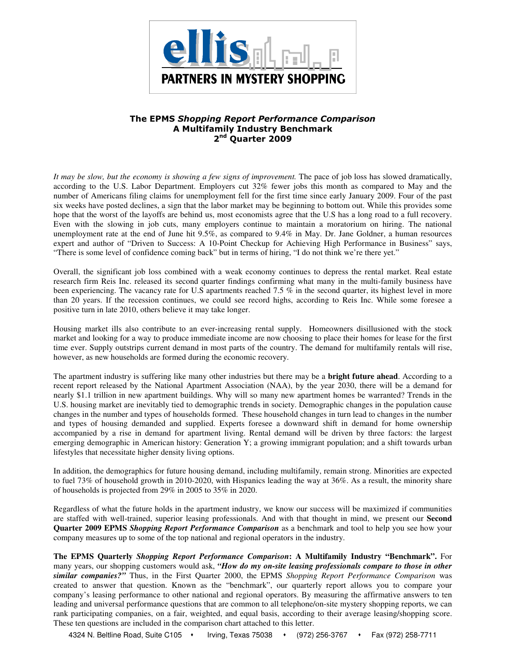

## The EPMS Shopping Report Performance Comparison A Multifamily Industry Benchmark 2<sup>nd</sup> Quarter 2009

*It may be slow, but the economy is showing a few signs of improvement.* The pace of job loss has slowed dramatically, according to the U.S. Labor Department. Employers cut 32% fewer jobs this month as compared to May and the number of Americans filing claims for unemployment fell for the first time since early January 2009. Four of the past six weeks have posted declines, a sign that the labor market may be beginning to bottom out. While this provides some hope that the worst of the layoffs are behind us, most economists agree that the U.S has a long road to a full recovery. Even with the slowing in job cuts, many employers continue to maintain a moratorium on hiring. The national unemployment rate at the end of June hit 9.5%, as compared to 9.4% in May. Dr. Jane Goldner, a human resources expert and author of "Driven to Success: A 10-Point Checkup for Achieving High Performance in Business" says, "There is some level of confidence coming back" but in terms of hiring, "I do not think we're there yet."

Overall, the significant job loss combined with a weak economy continues to depress the rental market. Real estate research firm Reis Inc. released its second quarter findings confirming what many in the multi-family business have been experiencing. The vacancy rate for U.S apartments reached 7.5 % in the second quarter, its highest level in more than 20 years. If the recession continues, we could see record highs, according to Reis Inc. While some foresee a positive turn in late 2010, others believe it may take longer.

Housing market ills also contribute to an ever-increasing rental supply. Homeowners disillusioned with the stock market and looking for a way to produce immediate income are now choosing to place their homes for lease for the first time ever. Supply outstrips current demand in most parts of the country. The demand for multifamily rentals will rise, however, as new households are formed during the economic recovery.

The apartment industry is suffering like many other industries but there may be a **bright future ahead**. According to a recent report released by the National Apartment Association (NAA), by the year 2030, there will be a demand for nearly \$1.1 trillion in new apartment buildings. Why will so many new apartment homes be warranted? Trends in the U.S. housing market are inevitably tied to demographic trends in society. Demographic changes in the population cause changes in the number and types of households formed. These household changes in turn lead to changes in the number and types of housing demanded and supplied. Experts foresee a downward shift in demand for home ownership accompanied by a rise in demand for apartment living. Rental demand will be driven by three factors: the largest emerging demographic in American history: Generation Y; a growing immigrant population; and a shift towards urban lifestyles that necessitate higher density living options.

In addition, the demographics for future housing demand, including multifamily, remain strong. Minorities are expected to fuel 73% of household growth in 2010-2020, with Hispanics leading the way at 36%. As a result, the minority share of households is projected from 29% in 2005 to 35% in 2020.

Regardless of what the future holds in the apartment industry, we know our success will be maximized if communities are staffed with well-trained, superior leasing professionals. And with that thought in mind, we present our **Second Quarter 2009 EPMS** *Shopping Report Performance Comparison* as a benchmark and tool to help you see how your company measures up to some of the top national and regional operators in the industry.

**The EPMS Quarterly** *Shopping Report Performance Comparison***: A Multifamily Industry "Benchmark".** For many years, our shopping customers would ask, *"How do my on-site leasing professionals compare to those in other similar companies?"* Thus, in the First Quarter 2000, the EPMS *Shopping Report Performance Comparison* was created to answer that question. Known as the "benchmark", our quarterly report allows you to compare your company's leasing performance to other national and regional operators. By measuring the affirmative answers to ten leading and universal performance questions that are common to all telephone/on-site mystery shopping reports, we can rank participating companies, on a fair, weighted, and equal basis, according to their average leasing/shopping score. These ten questions are included in the comparison chart attached to this letter.

4324 N. Beltline Road, Suite C105 · Irving, Texas 75038 · (972) 256-3767 · Fax (972) 258-7711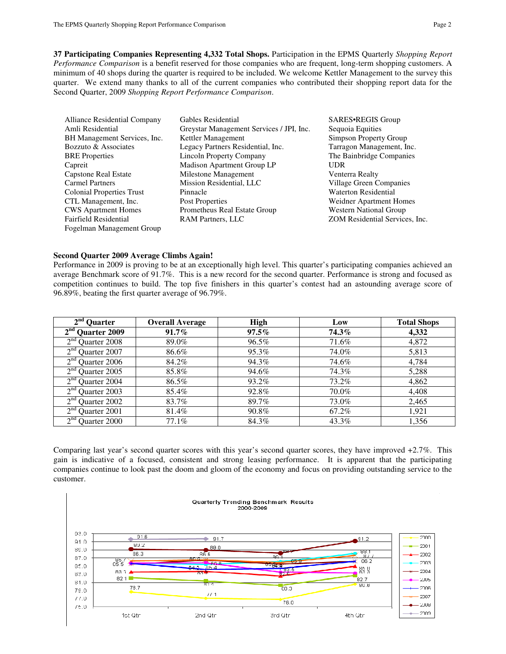**37 Participating Companies Representing 4,332 Total Shops.** Participation in the EPMS Quarterly *Shopping Report Performance Comparison* is a benefit reserved for those companies who are frequent, long-term shopping customers. A minimum of 40 shops during the quarter is required to be included. We welcome Kettler Management to the survey this quarter. We extend many thanks to all of the current companies who contributed their shopping report data for the Second Quarter, 2009 *Shopping Report Performance Comparison*.

| Alliance Residential Company     | Gables Residential                       | SARES•REGIS Group              |
|----------------------------------|------------------------------------------|--------------------------------|
| Amli Residential                 | Greystar Management Services / JPI, Inc. | Sequoia Equities               |
| BH Management Services, Inc.     | Kettler Management                       | Simpson Property Group         |
| Bozzuto & Associates             | Legacy Partners Residential, Inc.        | Tarragon Management, Inc.      |
| <b>BRE</b> Properties            | <b>Lincoln Property Company</b>          | The Bainbridge Companies       |
| Capreit                          | Madison Apartment Group LP               | <b>UDR</b>                     |
| Capstone Real Estate             | Milestone Management                     | Venterra Realty                |
| <b>Carmel Partners</b>           | Mission Residential, LLC                 | Village Green Companies        |
| <b>Colonial Properties Trust</b> | Pinnacle                                 | <b>Waterton Residential</b>    |
| CTL Management, Inc.             | Post Properties                          | <b>Weidner Apartment Homes</b> |
| <b>CWS</b> Apartment Homes       | Prometheus Real Estate Group             | <b>Western National Group</b>  |
| Fairfield Residential            | <b>RAM Partners, LLC</b>                 | ZOM Residential Services, Inc. |
| Fogelman Management Group        |                                          |                                |

#### **Second Quarter 2009 Average Climbs Again!**

Performance in 2009 is proving to be at an exceptionally high level. This quarter's participating companies achieved an average Benchmark score of 91.7%. This is a new record for the second quarter. Performance is strong and focused as competition continues to build. The top five finishers in this quarter's contest had an astounding average score of 96.89%, beating the first quarter average of 96.79%.

| $2nd$ Ouarter            | <b>Overall Average</b> | <b>High</b> | Low   | <b>Total Shops</b> |
|--------------------------|------------------------|-------------|-------|--------------------|
| $2nd$ Quarter 2009       | $91.7\%$               | $97.5\%$    | 74.3% | 4,332              |
| $2nd$ Quarter 2008       | 89.0%                  | 96.5%       | 71.6% | 4,872              |
| $2nd$ Quarter 2007       | 86.6%                  | 95.3%       | 74.0% | 5,813              |
| $2nd$ Quarter 2006       | 84.2%                  | 94.3%       | 74.6% | 4,784              |
| $2nd$ Quarter 2005       | 85.8%                  | 94.6%       | 74.3% | 5,288              |
| $2nd$ Quarter 2004       | 86.5%                  | 93.2%       | 73.2% | 4,862              |
| $2nd$ Quarter 2003       | 85.4%                  | 92.8%       | 70.0% | 4,408              |
| $2nd$ Quarter 2002       | 83.7%                  | 89.7%       | 73.0% | 2,465              |
| $2nd$ Quarter 2001       | 81.4%                  | 90.8%       | 67.2% | 1,921              |
| $2^{nd}$<br>Quarter 2000 | 77.1%                  | 84.3%       | 43.3% | 1,356              |

Comparing last year's second quarter scores with this year's second quarter scores, they have improved +2.7%. This gain is indicative of a focused, consistent and strong leasing performance. It is apparent that the participating companies continue to look past the doom and gloom of the economy and focus on providing outstanding service to the customer.

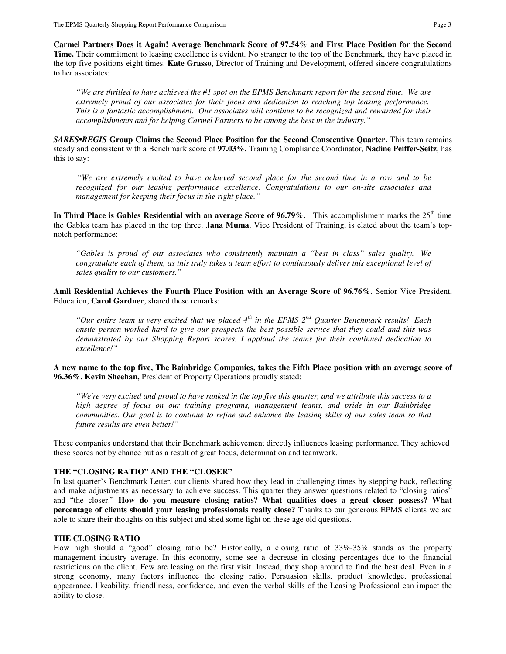**Carmel Partners Does it Again! Average Benchmark Score of 97.54% and First Place Position for the Second Time.** Their commitment to leasing excellence is evident. No stranger to the top of the Benchmark, they have placed in the top five positions eight times. **Kate Grasso**, Director of Training and Development, offered sincere congratulations to her associates:

*"We are thrilled to have achieved the #1 spot on the EPMS Benchmark report for the second time. We are extremely proud of our associates for their focus and dedication to reaching top leasing performance. This is a fantastic accomplishment. Our associates will continue to be recognized and rewarded for their accomplishments and for helping Carmel Partners to be among the best in the industry."* 

*SARES•REGIS* **Group Claims the Second Place Position for the Second Consecutive Quarter.** This team remains steady and consistent with a Benchmark score of **97.03%.** Training Compliance Coordinator, **Nadine Peiffer-Seitz**, has this to say:

 "*We are extremely excited to have achieved second place for the second time in a row and to be recognized for our leasing performance excellence. Congratulations to our on-site associates and management for keeping their focus in the right place."*

**In Third Place is Gables Residential with an average Score of 96.79%.** This accomplishment marks the 25<sup>th</sup> time the Gables team has placed in the top three. **Jana Muma**, Vice President of Training, is elated about the team's topnotch performance:

*"Gables is proud of our associates who consistently maintain a "best in class" sales quality. We congratulate each of them, as this truly takes a team effort to continuously deliver this exceptional level of sales quality to our customers."* 

**Amli Residential Achieves the Fourth Place Position with an Average Score of 96.76%.** Senior Vice President, Education, **Carol Gardner**, shared these remarks:

*"Our entire team is very excited that we placed 4th in the EPMS 2nd Quarter Benchmark results! Each onsite person worked hard to give our prospects the best possible service that they could and this was demonstrated by our Shopping Report scores. I applaud the teams for their continued dedication to excellence!"* 

**A new name to the top five, The Bainbridge Companies, takes the Fifth Place position with an average score of 96.36%. Kevin Sheehan,** President of Property Operations proudly stated:

*"We're very excited and proud to have ranked in the top five this quarter, and we attribute this success to a high degree of focus on our training programs, management teams, and pride in our Bainbridge communities. Our goal is to continue to refine and enhance the leasing skills of our sales team so that future results are even better!"* 

These companies understand that their Benchmark achievement directly influences leasing performance. They achieved these scores not by chance but as a result of great focus, determination and teamwork.

## **THE "CLOSING RATIO" AND THE "CLOSER"**

In last quarter's Benchmark Letter, our clients shared how they lead in challenging times by stepping back, reflecting and make adjustments as necessary to achieve success. This quarter they answer questions related to "closing ratios" and "the closer." **How do you measure closing ratios? What qualities does a great closer possess? What percentage of clients should your leasing professionals really close?** Thanks to our generous EPMS clients we are able to share their thoughts on this subject and shed some light on these age old questions.

## **THE CLOSING RATIO**

How high should a "good" closing ratio be? Historically, a closing ratio of 33%-35% stands as the property management industry average. In this economy, some see a decrease in closing percentages due to the financial restrictions on the client. Few are leasing on the first visit. Instead, they shop around to find the best deal. Even in a strong economy, many factors influence the closing ratio. Persuasion skills, product knowledge, professional appearance, likeability, friendliness, confidence, and even the verbal skills of the Leasing Professional can impact the ability to close.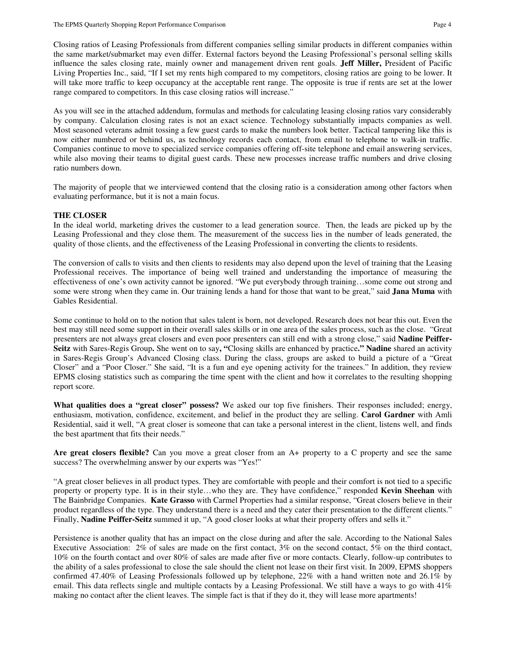Closing ratios of Leasing Professionals from different companies selling similar products in different companies within the same market/submarket may even differ. External factors beyond the Leasing Professional's personal selling skills influence the sales closing rate, mainly owner and management driven rent goals. **Jeff Miller,** President of Pacific Living Properties Inc., said, "If I set my rents high compared to my competitors, closing ratios are going to be lower. It will take more traffic to keep occupancy at the acceptable rent range. The opposite is true if rents are set at the lower range compared to competitors. In this case closing ratios will increase."

As you will see in the attached addendum, formulas and methods for calculating leasing closing ratios vary considerably by company. Calculation closing rates is not an exact science. Technology substantially impacts companies as well. Most seasoned veterans admit tossing a few guest cards to make the numbers look better. Tactical tampering like this is now either numbered or behind us, as technology records each contact, from email to telephone to walk-in traffic. Companies continue to move to specialized service companies offering off-site telephone and email answering services, while also moving their teams to digital guest cards. These new processes increase traffic numbers and drive closing ratio numbers down.

The majority of people that we interviewed contend that the closing ratio is a consideration among other factors when evaluating performance, but it is not a main focus.

### **THE CLOSER**

In the ideal world, marketing drives the customer to a lead generation source. Then, the leads are picked up by the Leasing Professional and they close them. The measurement of the success lies in the number of leads generated, the quality of those clients, and the effectiveness of the Leasing Professional in converting the clients to residents.

The conversion of calls to visits and then clients to residents may also depend upon the level of training that the Leasing Professional receives. The importance of being well trained and understanding the importance of measuring the effectiveness of one's own activity cannot be ignored. "We put everybody through training…some come out strong and some were strong when they came in. Our training lends a hand for those that want to be great," said **Jana Muma** with Gables Residential.

Some continue to hold on to the notion that sales talent is born, not developed. Research does not bear this out. Even the best may still need some support in their overall sales skills or in one area of the sales process, such as the close. "Great presenters are not always great closers and even poor presenters can still end with a strong close," said **Nadine Peiffer-Seitz** with Sares-Regis Group**.** She went on to say**, "**Closing skills are enhanced by practice**." Nadine** shared an activity in Sares-Regis Group's Advanced Closing class. During the class, groups are asked to build a picture of a "Great Closer" and a "Poor Closer." She said, "It is a fun and eye opening activity for the trainees." In addition, they review EPMS closing statistics such as comparing the time spent with the client and how it correlates to the resulting shopping report score.

**What qualities does a "great closer" possess?** We asked our top five finishers. Their responses included; energy, enthusiasm, motivation, confidence, excitement, and belief in the product they are selling. **Carol Gardner** with Amli Residential, said it well, "A great closer is someone that can take a personal interest in the client, listens well, and finds the best apartment that fits their needs."

**Are great closers flexible?** Can you move a great closer from an A+ property to a C property and see the same success? The overwhelming answer by our experts was "Yes!"

"A great closer believes in all product types. They are comfortable with people and their comfort is not tied to a specific property or property type. It is in their style…who they are. They have confidence," responded **Kevin Sheehan** with The Bainbridge Companies. **Kate Grasso** with Carmel Properties had a similar response, "Great closers believe in their product regardless of the type. They understand there is a need and they cater their presentation to the different clients." Finally, **Nadine Peiffer-Seitz** summed it up, "A good closer looks at what their property offers and sells it."

Persistence is another quality that has an impact on the close during and after the sale. According to the National Sales Executive Association: 2% of sales are made on the first contact, 3% on the second contact, 5% on the third contact, 10% on the fourth contact and over 80% of sales are made after five or more contacts. Clearly, follow-up contributes to the ability of a sales professional to close the sale should the client not lease on their first visit. In 2009, EPMS shoppers confirmed 47.40% of Leasing Professionals followed up by telephone, 22% with a hand written note and 26.1% by email. This data reflects single and multiple contacts by a Leasing Professional. We still have a ways to go with  $41\%$ making no contact after the client leaves. The simple fact is that if they do it, they will lease more apartments!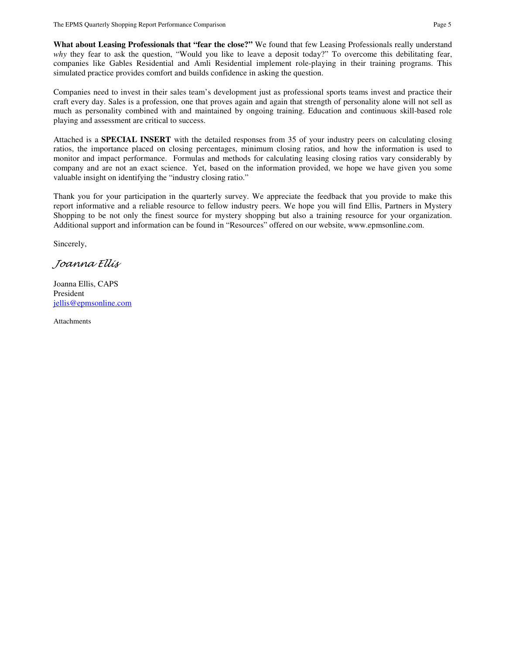**What about Leasing Professionals that "fear the close?"** We found that few Leasing Professionals really understand *why* they fear to ask the question, "Would you like to leave a deposit today?" To overcome this debilitating fear, companies like Gables Residential and Amli Residential implement role-playing in their training programs. This simulated practice provides comfort and builds confidence in asking the question.

Companies need to invest in their sales team's development just as professional sports teams invest and practice their craft every day. Sales is a profession, one that proves again and again that strength of personality alone will not sell as much as personality combined with and maintained by ongoing training. Education and continuous skill-based role playing and assessment are critical to success.

Attached is a **SPECIAL INSERT** with the detailed responses from 35 of your industry peers on calculating closing ratios, the importance placed on closing percentages, minimum closing ratios, and how the information is used to monitor and impact performance. Formulas and methods for calculating leasing closing ratios vary considerably by company and are not an exact science. Yet, based on the information provided, we hope we have given you some valuable insight on identifying the "industry closing ratio."

Thank you for your participation in the quarterly survey. We appreciate the feedback that you provide to make this report informative and a reliable resource to fellow industry peers. We hope you will find Ellis, Partners in Mystery Shopping to be not only the finest source for mystery shopping but also a training resource for your organization. Additional support and information can be found in "Resources" offered on our website, www.epmsonline.com.

Sincerely,

Joanna Ellis

Joanna Ellis, CAPS President jellis@epmsonline.com

Attachments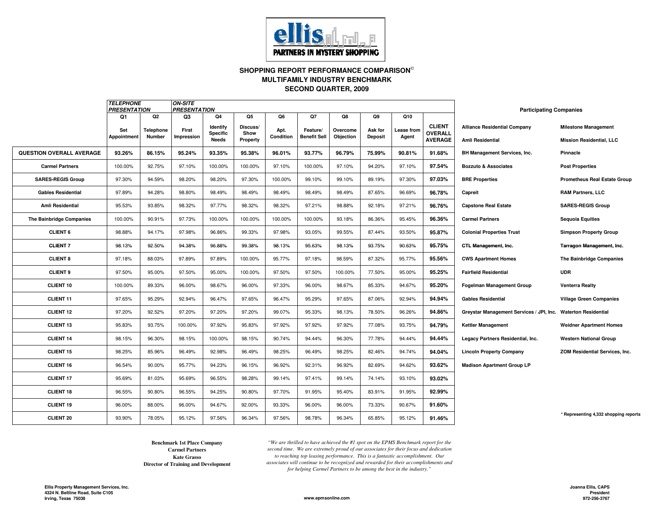

### **SHOPPING REPORT PERFORMANCE COMPARISON SECOND QUARTER, 2009MULTIFAMILY INDUSTRY BENCHMARK**

|                                 | <b>TELEPHONE</b><br><b>PRESENTATION</b> |                  | <b>ON-SITE</b><br><b>PRESENTATION</b> |                             |                  |           |                     |           |                |                   |                                 | <b>Participating Companies</b>                                |                                       |
|---------------------------------|-----------------------------------------|------------------|---------------------------------------|-----------------------------|------------------|-----------|---------------------|-----------|----------------|-------------------|---------------------------------|---------------------------------------------------------------|---------------------------------------|
|                                 | Q1                                      | Q2               | Q3                                    | Q4                          | Q5               | Q6        | Q7                  | Q8        | Q9             | Q10               |                                 |                                                               |                                       |
|                                 | Set                                     | <b>Telephone</b> | First                                 | <b>Identify</b><br>Specific | Discuss/<br>Show | Apt.      | Feature/            | Overcome  | Ask for        | <b>Lease from</b> | <b>CLIENT</b><br><b>OVERALL</b> | <b>Alliance Residential Company</b>                           | <b>Milestone Management</b>           |
|                                 | <b>Appointment</b>                      | Number           | Impression                            | Needs                       | Property         | Condition | <b>Benefit Sell</b> | Objection | <b>Deposit</b> | Agent             | <b>AVERAGE</b>                  | <b>Amli Residential</b>                                       | <b>Mission Residential, LLC</b>       |
| <b>QUESTION OVERALL AVERAGE</b> | 93.26%                                  | 86.15%           | 95.24%                                | 93.35%                      | 95.38%           | 96.01%    | 93.77%              | 96.79%    | 75.99%         | 90.81%            | 91.68%                          | <b>BH Management Services, Inc.</b>                           | Pinnacle                              |
| <b>Carmel Partners</b>          | 100.00%                                 | 92.75%           | 97.10%                                | 100.00%                     | 100.00%          | 97.10%    | 100.00%             | 97.10%    | 94.20%         | 97.10%            | 97.54%                          | <b>Bozzuto &amp; Associates</b>                               | <b>Post Properties</b>                |
| <b>SARES-REGIS Group</b>        | 97.30%                                  | 94.59%           | 98.20%                                | 98.20%                      | 97.30%           | 100.00%   | 99.10%              | 99.10%    | 89.19%         | 97.30%            | 97.03%                          | <b>BRE Properties</b>                                         | <b>Prometheus Real Estate Group</b>   |
| <b>Gables Residential</b>       | 97.89%                                  | 94.28%           | 98.80%                                | 98.49%                      | 98.49%           | 98.49%    | 98.49%              | 98.49%    | 87.65%         | 96.69%            | 96.78%                          | Capreit                                                       | <b>RAM Partners, LLC</b>              |
| <b>Amli Residential</b>         | 95.53%                                  | 93.85%           | 98.32%                                | 97.77%                      | 98.32%           | 98.32%    | 97.21%              | 98.88%    | 92.18%         | 97.21%            | 96.76%                          | <b>Capstone Real Estate</b>                                   | <b>SARES-REGIS Group</b>              |
| The Bainbridge Companies        | 100.00%                                 | 90.91%           | 97.73%                                | 100.00%                     | 100.00%          | 100.00%   | 100.00%             | 93.18%    | 86.36%         | 95.45%            | 96.36%                          | <b>Carmel Partners</b>                                        | <b>Sequoia Equities</b>               |
| <b>CLIENT 6</b>                 | 98.88%                                  | 94.17%           | 97.98%                                | 96.86%                      | 99.33%           | 97.98%    | 93.05%              | 99.55%    | 87.44%         | 93.50%            | 95.87%                          | <b>Colonial Properties Trust</b>                              | <b>Simpson Property Group</b>         |
| <b>CLIENT 7</b>                 | 98.13%                                  | 92.50%           | 94.38%                                | 96.88%                      | 99.38%           | 98.13%    | 95.63%              | 98.13%    | 93.75%         | 90.63%            | 95.75%                          | CTL Management, Inc.                                          | Tarragon Management, Inc.             |
| <b>CLIENT 8</b>                 | 97.18%                                  | 88.03%           | 97.89%                                | 97.89%                      | 100.00%          | 95.77%    | 97.18%              | 98.59%    | 87.32%         | 95.77%            | 95.56%                          | <b>CWS Apartment Homes</b>                                    | The Bainbridge Companies              |
| <b>CLIENT 9</b>                 | 97.50%                                  | 95.00%           | 97.50%                                | 95.00%                      | 100.00%          | 97.50%    | 97.50%              | 100.00%   | 77.50%         | 95.00%            | 95.25%                          | <b>Fairfield Residential</b>                                  | <b>UDR</b>                            |
| <b>CLIENT 10</b>                | 100.00%                                 | 89.33%           | 96.00%                                | 98.67%                      | 96.00%           | 97.33%    | 96.00%              | 98.67%    | 85.33%         | 94.67%            | 95.20%                          | <b>Fogelman Management Group</b>                              | Venterra Realty                       |
| <b>CLIENT 11</b>                | 97.65%                                  | 95.29%           | 92.94%                                | 96.47%                      | 97.65%           | 96.47%    | 95.29%              | 97.65%    | 87.06%         | 92.94%            | 94.94%                          | <b>Gables Residential</b>                                     | <b>Village Green Companies</b>        |
| <b>CLIENT 12</b>                | 97.20%                                  | 92.52%           | 97.20%                                | 97.20%                      | 97.20%           | 99.07%    | 95.33%              | 98.13%    | 78.50%         | 96.26%            | 94.86%                          | Greystar Management Services / JPI, Inc. Waterton Residential |                                       |
| <b>CLIENT 13</b>                | 95.83%                                  | 93.75%           | 100.00%                               | 97.92%                      | 95.83%           | 97.92%    | 97.92%              | 97.92%    | 77.08%         | 93.75%            | 94.79%                          | <b>Kettler Management</b>                                     | <b>Weidner Apartment Homes</b>        |
| <b>CLIENT 14</b>                | 98.15%                                  | 96.30%           | 98.15%                                | 100.00%                     | 98.15%           | 90.74%    | 94.44%              | 96.30%    | 77.78%         | 94.44%            | 94.44%                          | Legacy Partners Residential, Inc.                             | <b>Western National Group</b>         |
| <b>CLIENT 15</b>                | 98.25%                                  | 85.96%           | 96.49%                                | 92.98%                      | 96.49%           | 98.25%    | 96.49%              | 98.25%    | 82.46%         | 94.74%            | 94.04%                          | <b>Lincoln Property Company</b>                               | ZOM Residential Services, Inc.        |
| <b>CLIENT 16</b>                | 96.54%                                  | 90.00%           | 95.77%                                | 94.23%                      | 96.15%           | 96.92%    | 92.31%              | 96.92%    | 82.69%         | 94.62%            | 93.62%                          | <b>Madison Apartment Group LP</b>                             |                                       |
| <b>CLIENT 17</b>                | 95.69%                                  | 81.03%           | 95.69%                                | 96.55%                      | 98.28%           | 99.14%    | 97.41%              | 99.14%    | 74.14%         | 93.10%            | 93.02%                          |                                                               |                                       |
| <b>CLIENT 18</b>                | 96.55%                                  | 90.80%           | 96.55%                                | 94.25%                      | 90.80%           | 97.70%    | 91.95%              | 95.40%    | 83.91%         | 91.95%            | 92.99%                          |                                                               |                                       |
| <b>CLIENT 19</b>                | 96.00%                                  | 88.00%           | 96.00%                                | 94.67%                      | 92.00%           | 93.33%    | 96.00%              | 96.00%    | 73.33%         | 90.67%            | 91.60%                          |                                                               |                                       |
| <b>CLIENT 20</b>                | 93.90%                                  | 78.05%           | 95.12%                                | 97.56%                      | 96.34%           | 97.56%    | 98.78%              | 96.34%    | 65.85%         | 95.12%            | 91.46%                          |                                                               | * Representing 4,332 shopping reports |

**Director of Training and Development Benchmark 1st Place CompanyCarmel PartnersKate Grasso**

*"We are thrilled to have achieved the #1 spot on the EPMS Benchmark report for the second time. We are extremely proud of our associates for their focus and dedication to reaching top leasing performance. This is a fantastic accomplishment. Our associates will continue to be recognized and rewarded for their accomplishments and for helping Carmel Partners to be among the best in the industry."*

**www.epmsonline.com**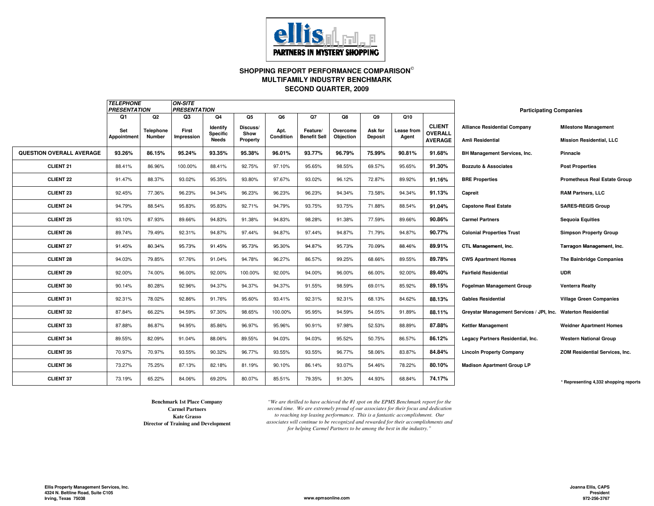

### **SHOPPING REPORT PERFORMANCE COMPARISON SECOND QUARTER, 2009MULTIFAMILY INDUSTRY BENCHMARK**

|                          | <b>TELEPHONE</b><br><b>PRESENTATION</b> |           | <b>ON-SITE</b><br><b>PRESENTATION</b> |                      |                  |           |                     |           |                |            |                                 | <b>Participating Companies</b>                                |                                       |
|--------------------------|-----------------------------------------|-----------|---------------------------------------|----------------------|------------------|-----------|---------------------|-----------|----------------|------------|---------------------------------|---------------------------------------------------------------|---------------------------------------|
|                          | Q1                                      | Q2        | Q <sub>3</sub>                        | Q <sub>4</sub>       | Q5               | Q6        | Q7                  | Q8        | Q9             | Q10        |                                 |                                                               |                                       |
|                          | Set                                     | Telephone | First                                 | Identify<br>Specific | Discuss/<br>Show | Apt.      | Feature/            | Overcome  | Ask for        | Lease from | <b>CLIENT</b><br><b>OVERALL</b> | <b>Alliance Residential Company</b>                           | <b>Milestone Management</b>           |
|                          | Appointment                             | Number    | Impression                            | Needs                | Property         | Condition | <b>Benefit Sell</b> | Objection | <b>Deposit</b> | Agent      | <b>AVERAGE</b>                  | Amli Residential                                              | <b>Mission Residential, LLC</b>       |
| QUESTION OVERALL AVERAGE | 93.26%                                  | 86.15%    | 95.24%                                | 93.35%               | 95.38%           | 96.01%    | 93.77%              | 96.79%    | 75.99%         | 90.81%     | 91.68%                          | <b>BH Management Services, Inc.</b>                           | Pinnacle                              |
| <b>CLIENT 21</b>         | 88.41%                                  | 86.96%    | 100.00%                               | 88.41%               | 92.75%           | 97.10%    | 95.65%              | 98.55%    | 69.57%         | 95.65%     | 91.30%                          | <b>Bozzuto &amp; Associates</b>                               | <b>Post Properties</b>                |
| <b>CLIENT 22</b>         | 91.47%                                  | 88.37%    | 93.02%                                | 95.35%               | 93.80%           | 97.67%    | 93.02%              | 96.12%    | 72.87%         | 89.92%     | 91.16%                          | <b>BRE Properties</b>                                         | <b>Prometheus Real Estate Group</b>   |
| <b>CLIENT 23</b>         | 92.45%                                  | 77.36%    | 96.23%                                | 94.34%               | 96.23%           | 96.23%    | 96.23%              | 94.34%    | 73.58%         | 94.34%     | 91.13%                          | Capreit                                                       | <b>RAM Partners, LLC</b>              |
| CLIENT <sub>24</sub>     | 94.79%                                  | 88.54%    | 95.83%                                | 95.83%               | 92.71%           | 94.79%    | 93.75%              | 93.75%    | 71.88%         | 88.54%     | 91.04%                          | <b>Capstone Real Estate</b>                                   | <b>SARES-REGIS Group</b>              |
| <b>CLIENT 25</b>         | 93.10%                                  | 87.93%    | 89.66%                                | 94.83%               | 91.38%           | 94.83%    | 98.28%              | 91.38%    | 77.59%         | 89.66%     | 90.86%                          | <b>Carmel Partners</b>                                        | <b>Sequoia Equities</b>               |
| <b>CLIENT 26</b>         | 89.74%                                  | 79.49%    | 92.31%                                | 94.87%               | 97.44%           | 94.87%    | 97.44%              | 94.87%    | 71.79%         | 94.87%     | 90.77%                          | <b>Colonial Properties Trust</b>                              | <b>Simpson Property Group</b>         |
| <b>CLIENT 27</b>         | 91.45%                                  | 80.34%    | 95.73%                                | 91.45%               | 95.73%           | 95.30%    | 94.87%              | 95.73%    | 70.09%         | 88.46%     | 89.91%                          | CTL Management, Inc.                                          | Tarragon Management, Inc.             |
| <b>CLIENT 28</b>         | 94.03%                                  | 79.85%    | 97.76%                                | 91.04%               | 94.78%           | 96.27%    | 86.57%              | 99.25%    | 68.66%         | 89.55%     | 89.78%                          | <b>CWS Apartment Homes</b>                                    | <b>The Bainbridge Companies</b>       |
| <b>CLIENT 29</b>         | 92.00%                                  | 74.00%    | 96.00%                                | 92.00%               | 100.00%          | 92.00%    | 94.00%              | 96.00%    | 66.00%         | 92.00%     | 89.40%                          | <b>Fairfield Residential</b>                                  | <b>UDR</b>                            |
| <b>CLIENT 30</b>         | 90.14%                                  | 80.28%    | 92.96%                                | 94.37%               | 94.37%           | 94.37%    | 91.55%              | 98.59%    | 69.01%         | 85.92%     | 89.15%                          | <b>Fogelman Management Group</b>                              | <b>Venterra Realty</b>                |
| <b>CLIENT 31</b>         | 92.31%                                  | 78.02%    | 92.86%                                | 91.76%               | 95.60%           | 93.41%    | 92.31%              | 92.31%    | 68.13%         | 84.62%     | 88.13%                          | <b>Gables Residential</b>                                     | <b>Village Green Companies</b>        |
| <b>CLIENT 32</b>         | 87.84%                                  | 66.22%    | 94.59%                                | 97.30%               | 98.65%           | 100.00%   | 95.95%              | 94.59%    | 54.05%         | 91.89%     | 88.11%                          | Greystar Management Services / JPI, Inc. Waterton Residential |                                       |
| <b>CLIENT 33</b>         | 87.88%                                  | 86.87%    | 94.95%                                | 85.86%               | 96.97%           | 95.96%    | 90.91%              | 97.98%    | 52.53%         | 88.89%     | 87.88%                          | <b>Kettler Management</b>                                     | <b>Weidner Apartment Homes</b>        |
| <b>CLIENT 34</b>         | 89.55%                                  | 82.09%    | 91.04%                                | 88.06%               | 89.55%           | 94.03%    | 94.03%              | 95.52%    | 50.75%         | 86.57%     | 86.12%                          | Legacy Partners Residential, Inc.                             | <b>Western National Group</b>         |
| <b>CLIENT 35</b>         | 70.97%                                  | 70.97%    | 93.55%                                | 90.32%               | 96.77%           | 93.55%    | 93.55%              | 96.77%    | 58.06%         | 83.87%     | 84.84%                          | <b>Lincoln Property Company</b>                               | <b>ZOM Residential Services, Inc.</b> |
| <b>CLIENT 36</b>         | 73.27%                                  | 75.25%    | 87.13%                                | 82.18%               | 81.19%           | 90.10%    | 86.14%              | 93.07%    | 54.46%         | 78.22%     | 80.10%                          | <b>Madison Apartment Group LP</b>                             |                                       |
| <b>CLIENT 37</b>         | 73.19%                                  | 65.22%    | 84.06%                                | 69.20%               | 80.07%           | 85.51%    | 79.35%              | 91.30%    | 44.93%         | 68.84%     | 74.17%                          |                                                               | * Representing 4,332 shopping reports |

**Director of Training and Development Kate GrassoBenchmark 1st Place CompanyCarmel Partners**

*"We are thrilled to have achieved the #1 spot on the EPMS Benchmark report for the second time. We are extremely proud of our associates for their focus and dedication to reaching top leasing performance. This is a fantastic accomplishment. Our associates will continue to be recognized and rewarded for their accomplishments and for helping Carmel Partners to be among the best in the industry."*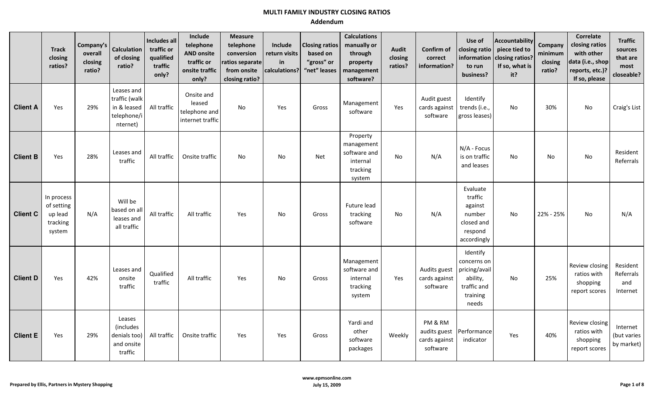|                 | <b>Track</b><br>closing<br>ratios?                        | Company's<br>overall<br>closing<br>ratio? | <b>Calculation</b><br>of closing<br>ratio?                            | Includes all<br>traffic or<br>qualified<br>traffic<br>only? | Include<br>telephone<br><b>AND onsite</b><br>traffic or<br>onsite traffic<br>only? | <b>Measure</b><br>telephone<br>conversion<br>ratios separate<br>from onsite<br>closing ratio? | Include<br>return visits<br>in<br>calculations? | <b>Closing ratios</b><br>based on<br>"gross" or<br>"net" leases | <b>Calculations</b><br>manually or<br>through<br>property<br>management<br>software? | <b>Audit</b><br>closing<br>ratios? | Confirm of<br>correct<br>information?                | Use of<br>closing ratio<br>information<br>to run<br>business?                            | <b>Accountability</b><br>piece tied to<br>closing ratios?<br>If so, what is<br>it? | Company<br>minimum<br>closing<br>ratio? | Correlate<br>closing ratios<br>with other<br>data (i.e., shop<br>reports, etc.)?<br>If so, please | <b>Traffic</b><br>sources<br>that are<br>most<br>closeable? |
|-----------------|-----------------------------------------------------------|-------------------------------------------|-----------------------------------------------------------------------|-------------------------------------------------------------|------------------------------------------------------------------------------------|-----------------------------------------------------------------------------------------------|-------------------------------------------------|-----------------------------------------------------------------|--------------------------------------------------------------------------------------|------------------------------------|------------------------------------------------------|------------------------------------------------------------------------------------------|------------------------------------------------------------------------------------|-----------------------------------------|---------------------------------------------------------------------------------------------------|-------------------------------------------------------------|
| <b>Client A</b> | Yes                                                       | 29%                                       | Leases and<br>traffic (walk<br>in & leased<br>telephone/i<br>nternet) | All traffic                                                 | Onsite and<br>leased<br>telephone and<br>internet traffic                          | No                                                                                            | Yes                                             | Gross                                                           | Management<br>software                                                               | Yes                                | Audit guest<br>cards against<br>software             | Identify<br>trends (i.e.,<br>gross leases)                                               | No                                                                                 | 30%                                     | No                                                                                                | Craig's List                                                |
| <b>Client B</b> | Yes                                                       | 28%                                       | Leases and<br>traffic                                                 | All traffic                                                 | Onsite traffic                                                                     | <b>No</b>                                                                                     | No                                              | Net                                                             | Property<br>management<br>software and<br>internal<br>tracking<br>system             | <b>No</b>                          | N/A                                                  | N/A - Focus<br>is on traffic<br>and leases                                               | <b>No</b>                                                                          | No                                      | No                                                                                                | Resident<br>Referrals                                       |
| <b>Client C</b> | In process<br>of setting<br>up lead<br>tracking<br>system | N/A                                       | Will be<br>based on all<br>leases and<br>all traffic                  | All traffic                                                 | All traffic                                                                        | Yes                                                                                           | No                                              | Gross                                                           | Future lead<br>tracking<br>software                                                  | No                                 | N/A                                                  | Evaluate<br>traffic<br>against<br>number<br>closed and<br>respond<br>accordingly         | No                                                                                 | 22% - 25%                               | No                                                                                                | N/A                                                         |
| <b>Client D</b> | Yes                                                       | 42%                                       | Leases and<br>onsite<br>traffic                                       | Qualified<br>traffic                                        | All traffic                                                                        | Yes                                                                                           | No                                              | Gross                                                           | Management<br>software and<br>internal<br>tracking<br>system                         | Yes                                | Audits guest<br>cards against<br>software            | Identify<br>concerns on<br>pricing/avail<br>ability,<br>traffic and<br>training<br>needs | No                                                                                 | 25%                                     | Review closing<br>ratios with<br>shopping<br>report scores                                        | Resident<br>Referrals<br>and<br>Internet                    |
| <b>Client E</b> | Yes                                                       | 29%                                       | Leases<br>(includes<br>denials too)<br>and onsite<br>traffic          | All traffic                                                 | Onsite traffic                                                                     | Yes                                                                                           | Yes                                             | Gross                                                           | Yardi and<br>other<br>software<br>packages                                           | Weekly                             | PM & RM<br>audits guest<br>cards against<br>software | Performance<br>indicator                                                                 | Yes                                                                                | 40%                                     | Review closing<br>ratios with<br>shopping<br>report scores                                        | Internet<br>(but varies<br>by market)                       |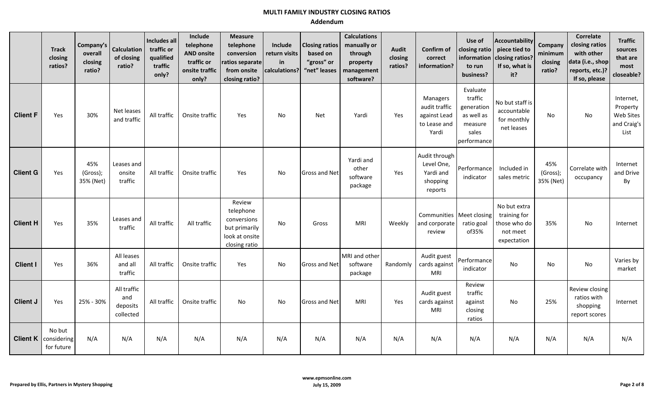|                 | <b>Track</b><br>closing<br>ratios?                  | Company's<br>overall<br>closing<br>ratio? | <b>Calculation</b><br>of closing<br>ratio?  | Includes all<br>traffic or<br>qualified<br>traffic<br>only? | Include<br>telephone<br><b>AND onsite</b><br>traffic or<br>onsite traffic<br>only? | <b>Measure</b><br>telephone<br>conversion<br>ratios separate<br>from onsite<br>closing ratio? | Include<br>return visits<br>in<br>calculations? | <b>Closing ratios</b><br>based on<br>"gross" or<br>"net" leases | <b>Calculations</b><br>manually or<br>through<br>property<br>management<br>software? | <b>Audit</b><br>closing<br>ratios? | Confirm of<br>correct<br>information?                              | Use of<br>closing ratio<br>information<br>to run<br>business?                      | <b>Accountability</b><br>piece tied to<br>closing ratios?<br>If so, what is<br>it? | Company<br>minimum<br>closing<br>ratio? | Correlate<br>closing ratios<br>with other<br>data (i.e., shop<br>reports, etc.)?<br>If so, please | <b>Traffic</b><br>sources<br>that are<br>most<br>closeable? |
|-----------------|-----------------------------------------------------|-------------------------------------------|---------------------------------------------|-------------------------------------------------------------|------------------------------------------------------------------------------------|-----------------------------------------------------------------------------------------------|-------------------------------------------------|-----------------------------------------------------------------|--------------------------------------------------------------------------------------|------------------------------------|--------------------------------------------------------------------|------------------------------------------------------------------------------------|------------------------------------------------------------------------------------|-----------------------------------------|---------------------------------------------------------------------------------------------------|-------------------------------------------------------------|
| <b>Client F</b> | Yes                                                 | 30%                                       | Net leases<br>and traffic                   | All traffic                                                 | Onsite traffic                                                                     | Yes                                                                                           | No                                              | <b>Net</b>                                                      | Yardi                                                                                | Yes                                | Managers<br>audit traffic<br>against Lead<br>to Lease and<br>Yardi | Evaluate<br>traffic<br>generation<br>as well as<br>measure<br>sales<br>performance | No but staff is<br>accountable<br>for monthly<br>net leases                        | No                                      | No                                                                                                | Internet,<br>Property<br>Web Sites<br>and Craig's<br>List   |
| <b>Client G</b> | Yes                                                 | 45%<br>(Gross);<br>35% (Net)              | Leases and<br>onsite<br>traffic             | All traffic                                                 | Onsite traffic                                                                     | Yes                                                                                           | No                                              | <b>Gross and Net</b>                                            | Yardi and<br>other<br>software<br>package                                            | Yes                                | Audit through<br>Level One,<br>Yardi and<br>shopping<br>reports    | Performance<br>indicator                                                           | Included in<br>sales metric                                                        | 45%<br>(Gross);<br>35% (Net)            | Correlate with<br>occupancy                                                                       | Internet<br>and Drive<br>By                                 |
| <b>Client H</b> | Yes                                                 | 35%                                       | Leases and<br>traffic                       | All traffic                                                 | All traffic                                                                        | Review<br>telephone<br>conversions<br>but primarily<br>look at onsite<br>closing ratio        | <b>No</b>                                       | Gross                                                           | MRI                                                                                  | Weekly                             | Communities   Meet closing<br>and corporate<br>review              | ratio goal<br>of35%                                                                | No but extra<br>training for<br>those who do<br>not meet<br>expectation            | 35%                                     | No                                                                                                | Internet                                                    |
| <b>Client I</b> | Yes                                                 | 36%                                       | All leases<br>and all<br>traffic            | All traffic                                                 | Onsite traffic                                                                     | Yes                                                                                           | No                                              | <b>Gross and Net</b>                                            | MRI and other<br>software<br>package                                                 | Randomly                           | Audit guest<br>cards against<br>MRI                                | Performance<br>indicator                                                           | No                                                                                 | No                                      | No                                                                                                | Varies by<br>market                                         |
| <b>Client J</b> | Yes                                                 | 25% - 30%                                 | All traffic<br>and<br>deposits<br>collected | All traffic                                                 | Onsite traffic                                                                     | No                                                                                            | No                                              | <b>Gross and Net</b>                                            | <b>MRI</b>                                                                           | Yes                                | Audit guest<br>cards against<br>MRI                                | Review<br>traffic<br>against<br>closing<br>ratios                                  | No                                                                                 | 25%                                     | Review closing<br>ratios with<br>shopping<br>report scores                                        | Internet                                                    |
|                 | No but<br><b>Client K</b> considering<br>for future | N/A                                       | N/A                                         | N/A                                                         | N/A                                                                                | N/A                                                                                           | N/A                                             | N/A                                                             | N/A                                                                                  | N/A                                | N/A                                                                | N/A                                                                                | N/A                                                                                | N/A                                     | N/A                                                                                               | N/A                                                         |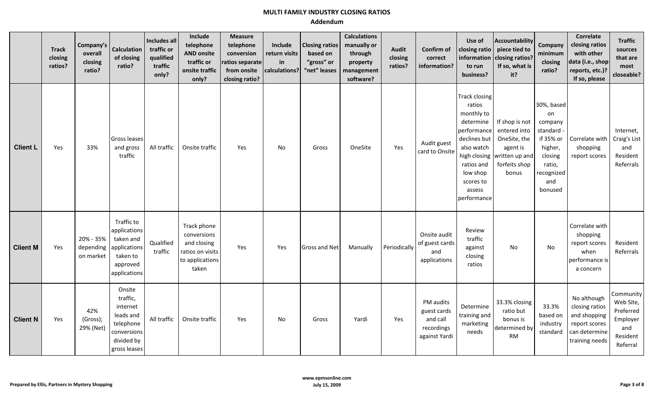|                 | <b>Track</b><br>closing<br>ratios? | Company's<br>overall<br>closing<br>ratio? | <b>Calculation</b><br>of closing<br>ratio?                                                                | Includes all<br>traffic or<br>qualified<br>traffic<br>only? | Include<br>telephone<br><b>AND onsite</b><br>traffic or<br>onsite traffic<br>only?        | <b>Measure</b><br>telephone<br>conversion<br>ratios separate<br>from onsite<br>closing ratio? | Include<br>return visits<br>in<br>calculations? | <b>Closing ratios</b><br>based on<br>"gross" or<br>"net" leases | <b>Calculations</b><br>manually or<br>through<br>property<br>management<br>software? | <b>Audit</b><br>closing<br>ratios? | Confirm of<br>correct<br>information?                               | Use of<br>closing ratio<br>information<br>to run<br>business?                                                                                                                          | <b>Accountability</b><br>piece tied to<br>closing ratios?<br>If so, what is<br>it?                     | <b>Company</b><br>minimum<br>closing<br>ratio?                                                                       | <b>Correlate</b><br>closing ratios<br>with other<br>data (i.e., shop<br>reports, etc.)?<br>If so, please | <b>Traffic</b><br>sources<br>that are<br>most<br>closeable?                    |
|-----------------|------------------------------------|-------------------------------------------|-----------------------------------------------------------------------------------------------------------|-------------------------------------------------------------|-------------------------------------------------------------------------------------------|-----------------------------------------------------------------------------------------------|-------------------------------------------------|-----------------------------------------------------------------|--------------------------------------------------------------------------------------|------------------------------------|---------------------------------------------------------------------|----------------------------------------------------------------------------------------------------------------------------------------------------------------------------------------|--------------------------------------------------------------------------------------------------------|----------------------------------------------------------------------------------------------------------------------|----------------------------------------------------------------------------------------------------------|--------------------------------------------------------------------------------|
| <b>Client L</b> | Yes                                | 33%                                       | Gross leases<br>and gross<br>traffic                                                                      | All traffic                                                 | Onsite traffic                                                                            | Yes                                                                                           | No                                              | Gross                                                           | OneSite                                                                              | Yes                                | Audit guest<br>card to Onsite                                       | <b>Track closing</b><br>ratios<br>monthly to<br>determine<br>performance<br>declines but<br>also watch<br>high closing<br>ratios and<br>low shop<br>scores to<br>assess<br>performance | If shop is not<br>entered into<br>OneSite, the<br>agent is<br>written up and<br>forfeits shop<br>bonus | 30%, based<br>on<br>company<br>standard<br>if 35% or<br>higher,<br>closing<br>ratio,<br>recognized<br>and<br>bonused | Correlate with<br>shopping<br>report scores                                                              | Internet,<br>Craig's List<br>and<br>Resident<br>Referrals                      |
| <b>Client M</b> | Yes                                | 20% - 35%<br>on market                    | Traffic to<br>applications<br>taken and<br>depending applications<br>taken to<br>approved<br>applications | Qualified<br>traffic                                        | Track phone<br>conversions<br>and closing<br>ratios on visits<br>to applications<br>taken | Yes                                                                                           | Yes                                             | <b>Gross and Net</b>                                            | Manually                                                                             | Periodically                       | Onsite audit<br>of guest cards<br>and<br>applications               | Review<br>traffic<br>against<br>closing<br>ratios                                                                                                                                      | No                                                                                                     | No                                                                                                                   | Correlate with<br>shopping<br>report scores<br>when<br>performance is<br>a concern                       | Resident<br>Referrals                                                          |
| <b>Client N</b> | Yes                                | 42%<br>(Gross);<br>29% (Net)              | Onsite<br>traffic,<br>internet<br>leads and<br>telephone<br>conversions<br>divided by<br>gross leases     | All traffic                                                 | Onsite traffic                                                                            | Yes                                                                                           | No                                              | Gross                                                           | Yardi                                                                                | Yes                                | PM audits<br>guest cards<br>and call<br>recordings<br>against Yardi | Determine<br>training and<br>marketing<br>needs                                                                                                                                        | 33.3% closing<br>ratio but<br>bonus is<br>determined by<br><b>RM</b>                                   | 33.3%<br>based on<br>industry<br>standard                                                                            | No although<br>closing ratios<br>and shopping<br>report scores<br>can determine<br>training needs        | Community<br>Web Site,<br>Preferred<br>Employer<br>and<br>Resident<br>Referral |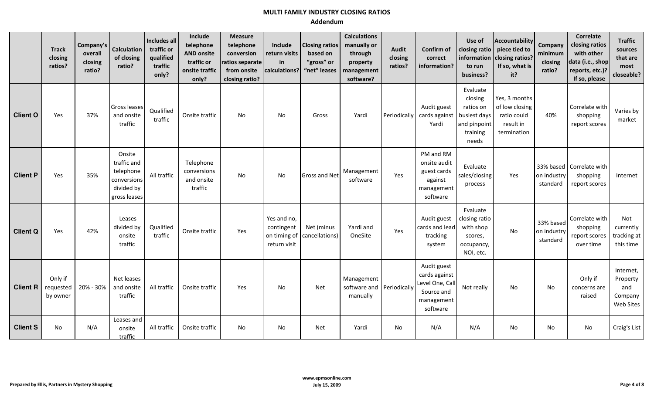|                 | <b>Track</b><br>closing<br>ratios? | Company's<br>overall<br>closing<br>ratio? | <b>Calculation</b><br>of closing<br>ratio?                                      | Includes all<br>traffic or<br>qualified<br>traffic<br>only? | Include<br>telephone<br><b>AND onsite</b><br>traffic or<br>onsite traffic<br>only? | <b>Measure</b><br>telephone<br>conversion<br>ratios separate<br>from onsite<br>closing ratio? | Include<br>return visits<br>in<br>calculations?           | <b>Closing ratios</b><br>based on<br>"gross" or<br>"net" leases | <b>Calculations</b><br>manually or<br>through<br>property<br>management<br>software? | <b>Audit</b><br>closing<br>ratios? | Confirm of<br>correct<br>information?                                                   | Use of<br>closing ratio<br>information<br>to run<br>business?                         | <b>Accountability</b><br>piece tied to<br>closing ratios?<br>If so, what is<br>it? | Company<br>minimum<br>closing<br>ratio? | Correlate<br>closing ratios<br>with other<br>data (i.e., shop<br>reports, etc.)?<br>If so, please | <b>Traffic</b><br>sources<br>that are<br>most<br>closeable? |
|-----------------|------------------------------------|-------------------------------------------|---------------------------------------------------------------------------------|-------------------------------------------------------------|------------------------------------------------------------------------------------|-----------------------------------------------------------------------------------------------|-----------------------------------------------------------|-----------------------------------------------------------------|--------------------------------------------------------------------------------------|------------------------------------|-----------------------------------------------------------------------------------------|---------------------------------------------------------------------------------------|------------------------------------------------------------------------------------|-----------------------------------------|---------------------------------------------------------------------------------------------------|-------------------------------------------------------------|
| <b>Client O</b> | Yes                                | 37%                                       | Gross leases<br>and onsite<br>traffic                                           | Qualified<br>traffic                                        | Onsite traffic                                                                     | No                                                                                            | No                                                        | Gross                                                           | Yardi                                                                                | Periodically                       | Audit guest<br>cards against<br>Yardi                                                   | Evaluate<br>closing<br>ratios on<br>busiest days<br>and pinpoint<br>training<br>needs | Yes, 3 months<br>of low closing<br>ratio could<br>result in<br>termination         | 40%                                     | Correlate with<br>shopping<br>report scores                                                       | Varies by<br>market                                         |
| <b>Client P</b> | Yes                                | 35%                                       | Onsite<br>traffic and<br>telephone<br>conversions<br>divided by<br>gross leases | All traffic                                                 | Telephone<br>conversions<br>and onsite<br>traffic                                  | No                                                                                            | No                                                        | <b>Gross and Net</b>                                            | Management<br>software                                                               | Yes                                | PM and RM<br>onsite audit<br>guest cards<br>against<br>management<br>software           | Evaluate<br>sales/closing<br>process                                                  | Yes                                                                                | on industry<br>standard                 | 33% based   Correlate with<br>shopping<br>report scores                                           | Internet                                                    |
| <b>Client Q</b> | Yes                                | 42%                                       | Leases<br>divided by<br>onsite<br>traffic                                       | Qualified<br>traffic                                        | Onsite traffic                                                                     | Yes                                                                                           | Yes and no,<br>contingent<br>on timing of<br>return visit | Net (minus<br>cancellations)                                    | Yardi and<br>OneSite                                                                 | Yes                                | Audit guest<br>cards and lead<br>tracking<br>system                                     | Evaluate<br>closing ratio<br>with shop<br>scores,<br>occupancy,<br>NOI, etc.          | No                                                                                 | 33% based<br>on industry<br>standard    | Correlate with<br>shopping<br>report scores<br>over time                                          | Not<br>currently<br>tracking at<br>this time                |
| <b>Client R</b> | Only if<br>requested<br>by owner   | 20% - 30%                                 | Net leases<br>and onsite<br>traffic                                             | All traffic                                                 | Onsite traffic                                                                     | Yes                                                                                           | <b>No</b>                                                 | <b>Net</b>                                                      | Management<br>software and Periodically<br>manually                                  |                                    | Audit guest<br>cards against<br>Level One, Call<br>Source and<br>management<br>software | Not really                                                                            | No                                                                                 | No                                      | Only if<br>concerns are<br>raised                                                                 | Internet,<br>Property<br>and<br>Company<br><b>Web Sites</b> |
| <b>Client S</b> | No                                 | N/A                                       | Leases and<br>onsite<br>traffic                                                 | All traffic                                                 | Onsite traffic                                                                     | No                                                                                            | No                                                        | <b>Net</b>                                                      | Yardi                                                                                | <b>No</b>                          | N/A                                                                                     | N/A                                                                                   | No                                                                                 | No                                      | No                                                                                                | Craig's List                                                |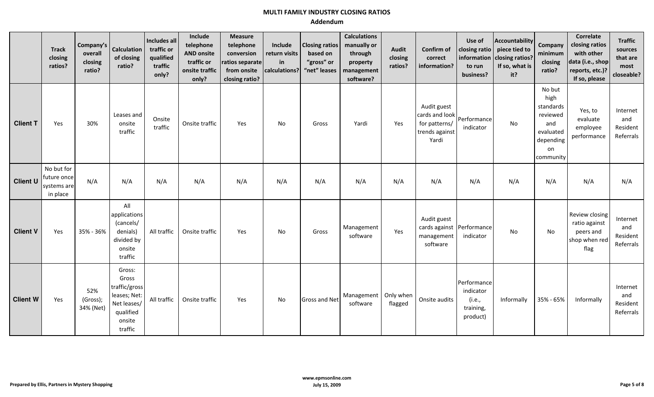|                 | <b>Track</b><br>closing<br>ratios?                   | Company's<br>overall<br>closing<br>ratio? | <b>Calculation</b><br>of closing<br>ratio?                                                        | Includes all<br>traffic or<br>qualified<br>traffic<br>only? | Include<br>telephone<br><b>AND onsite</b><br>traffic or<br>onsite traffic<br>only? | <b>Measure</b><br>telephone<br>conversion<br>ratios separate<br>from onsite<br>closing ratio? | Include<br>return visits<br>in<br>calculations? | <b>Closing ratios</b><br>based on<br>"gross" or<br>"net" leases | <b>Calculations</b><br>manually or<br>through<br>property<br>management<br>software? | <b>Audit</b><br>closing<br>ratios? | Confirm of<br>correct<br>information?                                     | Use of<br>closing ratio<br>information<br>to run<br>business? | Accountability<br>piece tied to<br>closing ratios?<br>If so, what is<br>it? | <b>Company</b><br>minimum<br>closing<br>ratio?                                              | Correlate<br>closing ratios<br>with other<br>data (i.e., shop<br>reports, etc.)?<br>If so, please | <b>Traffic</b><br>sources<br>that are<br>most<br>closeable? |
|-----------------|------------------------------------------------------|-------------------------------------------|---------------------------------------------------------------------------------------------------|-------------------------------------------------------------|------------------------------------------------------------------------------------|-----------------------------------------------------------------------------------------------|-------------------------------------------------|-----------------------------------------------------------------|--------------------------------------------------------------------------------------|------------------------------------|---------------------------------------------------------------------------|---------------------------------------------------------------|-----------------------------------------------------------------------------|---------------------------------------------------------------------------------------------|---------------------------------------------------------------------------------------------------|-------------------------------------------------------------|
| <b>Client T</b> | Yes                                                  | 30%                                       | Leases and<br>onsite<br>traffic                                                                   | Onsite<br>traffic                                           | Onsite traffic                                                                     | Yes                                                                                           | No                                              | Gross                                                           | Yardi                                                                                | Yes                                | Audit guest<br>cards and look<br>for patterns/<br>trends against<br>Yardi | Performance<br>indicator                                      | <b>No</b>                                                                   | No but<br>high<br>standards<br>reviewed<br>and<br>evaluated<br>depending<br>on<br>community | Yes, to<br>evaluate<br>employee<br>performance                                                    | Internet<br>and<br>Resident<br>Referrals                    |
| <b>Client U</b> | No but for<br>future once<br>systems are<br>in place | N/A                                       | N/A                                                                                               | N/A                                                         | N/A                                                                                | N/A                                                                                           | N/A                                             | N/A                                                             | N/A                                                                                  | N/A                                | N/A                                                                       | N/A                                                           | N/A                                                                         | N/A                                                                                         | N/A                                                                                               | N/A                                                         |
| <b>Client V</b> | Yes                                                  | 35% - 36%                                 | All<br>applications<br>(cancels/<br>denials)<br>divided by<br>onsite<br>traffic                   | All traffic                                                 | Onsite traffic                                                                     | Yes                                                                                           | No                                              | Gross                                                           | Management<br>software                                                               | Yes                                | Audit guest<br>cards against Performance<br>management<br>software        | indicator                                                     | <b>No</b>                                                                   | No.                                                                                         | Review closing<br>ratio against<br>peers and<br>shop when red<br>flag                             | Internet<br>and<br>Resident<br>Referrals                    |
| <b>Client W</b> | Yes                                                  | 52%<br>(Gross);<br>34% (Net)              | Gross:<br>Gross<br>traffic/gross<br>leases; Net:<br>Net leases/<br>qualified<br>onsite<br>traffic | All traffic                                                 | Onsite traffic                                                                     | Yes                                                                                           | No                                              | <b>Gross and Net</b>                                            | Management   Only when<br>software                                                   | flagged                            | Onsite audits                                                             | Performance<br>indicator<br>(i.e.,<br>training,<br>product)   | Informally                                                                  | 35% - 65%                                                                                   | Informally                                                                                        | Internet<br>and<br>Resident<br>Referrals                    |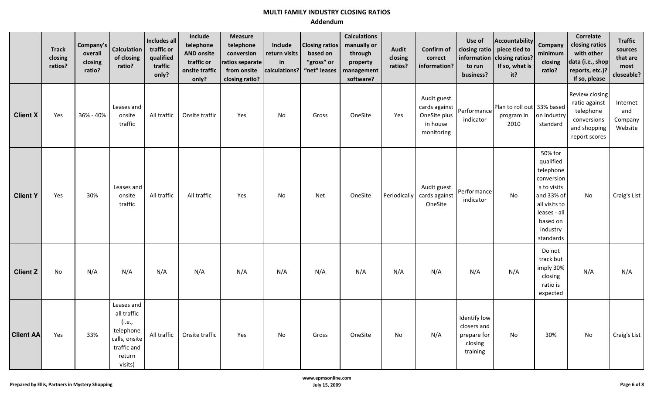|                  | <b>Track</b><br>closing<br>ratios? | Company's<br>overall<br>closing<br>ratio? | <b>Calculation</b><br>of closing<br>ratio?                                                            | Includes all<br>traffic or<br>qualified<br>traffic<br>only? | Include<br>telephone<br><b>AND onsite</b><br>traffic or<br>onsite traffic<br>only? | <b>Measure</b><br>telephone<br>conversion<br>ratios separate<br>from onsite<br>closing ratio? | Include<br>return visits<br>in<br>calculations? | <b>Closing ratios</b><br>based on<br>"gross" or<br>"net" leases | <b>Calculations</b><br>manually or<br>through<br>property<br>management<br>software? | <b>Audit</b><br>closing<br>ratios? | Confirm of<br>correct<br>information?                                  | Use of<br>closing ratio<br>to run<br>business?                    | Accountability<br>piece tied to<br>information $\vert$ closing ratios?<br>If so, what is<br>it? | Company<br>minimum<br>closing<br>ratio?                                                                                                            | <b>Correlate</b><br>closing ratios<br>with other<br>data (i.e., shop<br>reports, etc.)?<br>If so, please | <b>Traffic</b><br>sources<br>that are<br>most<br>closeable? |
|------------------|------------------------------------|-------------------------------------------|-------------------------------------------------------------------------------------------------------|-------------------------------------------------------------|------------------------------------------------------------------------------------|-----------------------------------------------------------------------------------------------|-------------------------------------------------|-----------------------------------------------------------------|--------------------------------------------------------------------------------------|------------------------------------|------------------------------------------------------------------------|-------------------------------------------------------------------|-------------------------------------------------------------------------------------------------|----------------------------------------------------------------------------------------------------------------------------------------------------|----------------------------------------------------------------------------------------------------------|-------------------------------------------------------------|
| <b>Client X</b>  | Yes                                | 36% - 40%                                 | Leases and<br>onsite<br>traffic                                                                       | All traffic                                                 | Onsite traffic                                                                     | Yes                                                                                           | No                                              | Gross                                                           | OneSite                                                                              | Yes                                | Audit guest<br>cards against<br>OneSite plus<br>in house<br>monitoring | Performance<br>indicator                                          | Plan to roll out 33% based<br>program in<br>2010                                                | on industry<br>standard                                                                                                                            | Review closing<br>ratio against<br>telephone<br>conversions<br>and shopping<br>report scores             | Internet<br>and<br>Company<br>Website                       |
| <b>Client Y</b>  | Yes                                | 30%                                       | Leases and<br>onsite<br>traffic                                                                       | All traffic                                                 | All traffic                                                                        | Yes                                                                                           | No                                              | <b>Net</b>                                                      | OneSite                                                                              | Periodically                       | Audit guest<br>cards against<br>OneSite                                | Performance<br>indicator                                          | No                                                                                              | 50% for<br>qualified<br>telephone<br>conversion<br>s to visits<br>and 33% of<br>all visits to<br>leases - all<br>based on<br>industry<br>standards | No                                                                                                       | Craig's List                                                |
| <b>Client Z</b>  | No                                 | N/A                                       | N/A                                                                                                   | N/A                                                         | N/A                                                                                | N/A                                                                                           | N/A                                             | N/A                                                             | N/A                                                                                  | N/A                                | N/A                                                                    | N/A                                                               | N/A                                                                                             | Do not<br>track but<br>imply 30%<br>closing<br>ratio is<br>expected                                                                                | N/A                                                                                                      | N/A                                                         |
| <b>Client AA</b> | Yes                                | 33%                                       | Leases and<br>all traffic<br>(i.e.,<br>telephone<br>calls, onsite<br>traffic and<br>return<br>visits) | All traffic                                                 | Onsite traffic                                                                     | Yes                                                                                           | No                                              | Gross                                                           | OneSite                                                                              | No                                 | N/A                                                                    | Identify low<br>closers and<br>prepare for<br>closing<br>training | No                                                                                              | 30%                                                                                                                                                | No                                                                                                       | Craig's List                                                |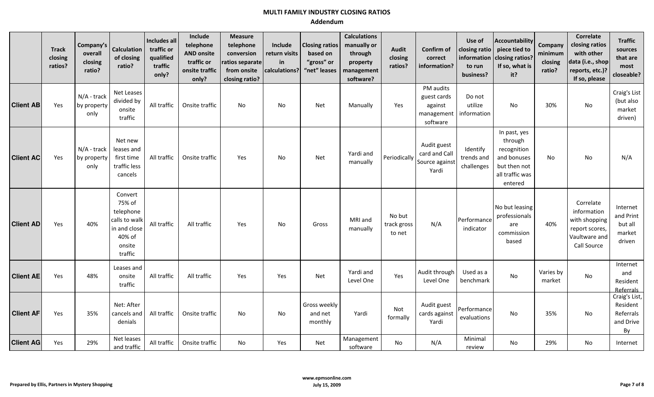|                  | <b>Track</b><br>closing<br>ratios? | Company's<br>overall<br>closing<br>ratio? | <b>Calculation</b><br>of closing<br>ratio?                                                     | Includes all<br>traffic or<br>qualified<br>traffic<br>only? | Include<br>telephone<br><b>AND onsite</b><br>traffic or<br>onsite traffic<br>only? | <b>Measure</b><br>telephone<br>conversion<br>ratios separate<br>from onsite<br>closing ratio? | Include<br>return visits<br>in<br>calculations? | <b>Closing ratios</b><br>based on<br>"gross" or<br>"net" leases | <b>Calculations</b><br>manually or<br>through<br>property<br>management<br>software? | <b>Audit</b><br>closing<br>ratios? | Confirm of<br>correct<br>information?                         | Use of<br>closing ratio<br>information<br>to run<br>business? | Accountability<br>piece tied to<br>closing ratios?<br>If so, what is<br>it?                         | Company<br>minimum<br>closing<br>ratio? | <b>Correlate</b><br>closing ratios<br>with other<br>data (i.e., shop<br>reports, etc.)?<br>If so, please | <b>Traffic</b><br>sources<br>that are<br>most<br>closeable? |
|------------------|------------------------------------|-------------------------------------------|------------------------------------------------------------------------------------------------|-------------------------------------------------------------|------------------------------------------------------------------------------------|-----------------------------------------------------------------------------------------------|-------------------------------------------------|-----------------------------------------------------------------|--------------------------------------------------------------------------------------|------------------------------------|---------------------------------------------------------------|---------------------------------------------------------------|-----------------------------------------------------------------------------------------------------|-----------------------------------------|----------------------------------------------------------------------------------------------------------|-------------------------------------------------------------|
| <b>Client AB</b> | Yes                                | N/A - track<br>by property<br>only        | Net Leases<br>divided by<br>onsite<br>traffic                                                  | All traffic                                                 | Onsite traffic                                                                     | <b>No</b>                                                                                     | No                                              | <b>Net</b>                                                      | Manually                                                                             | Yes                                | PM audits<br>guest cards<br>against<br>management<br>software | Do not<br>utilize<br>information                              | <b>No</b>                                                                                           | 30%                                     | No                                                                                                       | Craig's List<br>(but also<br>market<br>driven)              |
| <b>Client AC</b> | Yes                                | N/A - track<br>by property<br>only        | Net new<br>leases and<br>first time<br>traffic less<br>cancels                                 | All traffic                                                 | Onsite traffic                                                                     | Yes                                                                                           | No                                              | <b>Net</b>                                                      | Yardi and<br>manually                                                                | Periodically                       | Audit guest<br>card and Call<br>Source against<br>Yardi       | Identify<br>trends and<br>challenges                          | In past, yes<br>through<br>recognition<br>and bonuses<br>but then not<br>all traffic was<br>entered | N <sub>o</sub>                          | No                                                                                                       | N/A                                                         |
| <b>Client AD</b> | Yes                                | 40%                                       | Convert<br>75% of<br>telephone<br>calls to walk<br>in and close<br>40% of<br>onsite<br>traffic | All traffic                                                 | All traffic                                                                        | Yes                                                                                           | <b>No</b>                                       | Gross                                                           | MRI and<br>manually                                                                  | No but<br>track gross<br>to net    | N/A                                                           | Performance<br>indicator                                      | No but leasing<br>professionals<br>are<br>commission<br>based                                       | 40%                                     | Correlate<br>information<br>with shopping<br>report scores,<br>Vaultware and<br>Call Source              | Internet<br>and Print<br>but all<br>market<br>driven        |
| <b>Client AE</b> | Yes                                | 48%                                       | Leases and<br>onsite<br>traffic                                                                | All traffic                                                 | All traffic                                                                        | Yes                                                                                           | Yes                                             | <b>Net</b>                                                      | Yardi and<br>Level One                                                               | Yes                                | Audit through<br>Level One                                    | Used as a<br>benchmark                                        | <b>No</b>                                                                                           | Varies by<br>market                     | No                                                                                                       | Internet<br>and<br>Resident<br>Referrals                    |
| <b>Client AF</b> | Yes                                | 35%                                       | Net: After<br>cancels and<br>denials                                                           | All traffic                                                 | Onsite traffic                                                                     | No                                                                                            | No                                              | Gross weekly<br>and net<br>monthly                              | Yardi                                                                                | Not<br>formally                    | Audit guest<br>cards against<br>Yardi                         | Performance<br>evaluations                                    | No                                                                                                  | 35%                                     | No                                                                                                       | Craig's List,<br>Resident<br>Referrals<br>and Drive<br>By   |
| <b>Client AG</b> | Yes                                | 29%                                       | Net leases<br>and traffic                                                                      | All traffic                                                 | Onsite traffic                                                                     | No                                                                                            | Yes                                             | Net                                                             | Management<br>software                                                               | No                                 | N/A                                                           | Minimal<br>review                                             | No                                                                                                  | 29%                                     | No                                                                                                       | Internet                                                    |